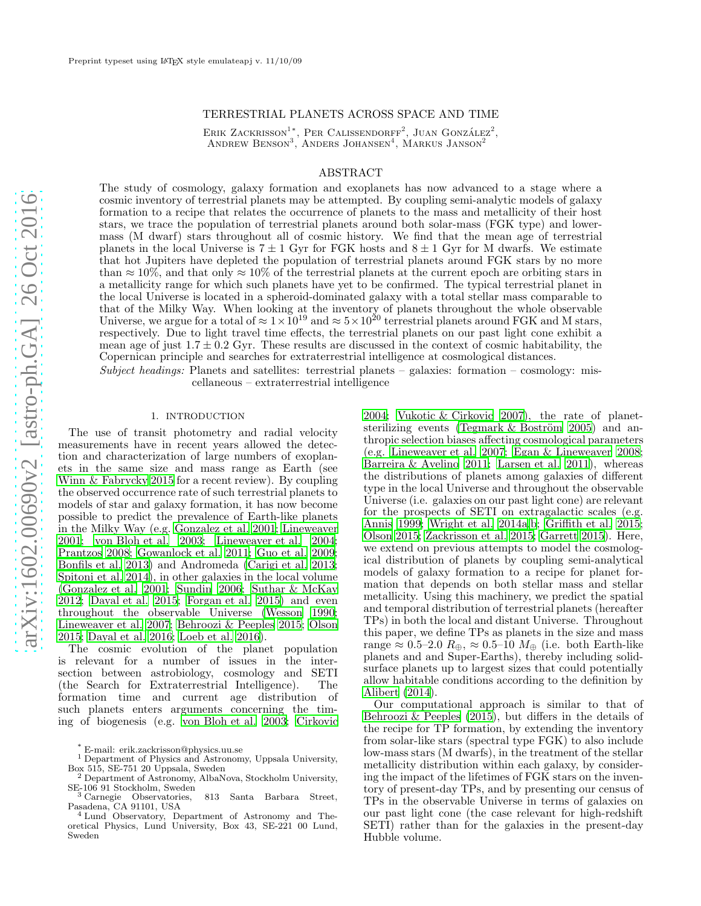# TERRESTRIAL PLANETS ACROSS SPACE AND TIME

ERIK ZACKRISSON<sup>1</sup><sup>\*</sup>, PER CALISSENDORFF<sup>2</sup>, JUAN GONZÁLEZ<sup>2</sup>, ANDREW BENSON<sup>3</sup>, ANDERS JOHANSEN<sup>4</sup>, MARKUS JANSON<sup>2</sup>

# ABSTRACT

The study of cosmology, galaxy formation and exoplanets has now advanced to a stage where a cosmic inventory of terrestrial planets may be attempted. By coupling semi-analytic models of galaxy formation to a recipe that relates the occurrence of planets to the mass and metallicity of their host stars, we trace the population of terrestrial planets around both solar-mass (FGK type) and lowermass (M dwarf) stars throughout all of cosmic history. We find that the mean age of terrestrial planets in the local Universe is  $7 \pm 1$  Gyr for FGK hosts and  $8 \pm 1$  Gyr for M dwarfs. We estimate that hot Jupiters have depleted the population of terrestrial planets around FGK stars by no more than  $\approx 10\%$ , and that only  $\approx 10\%$  of the terrestrial planets at the current epoch are orbiting stars in a metallicity range for which such planets have yet to be confirmed. The typical terrestrial planet in the local Universe is located in a spheroid-dominated galaxy with a total stellar mass comparable to that of the Milky Way. When looking at the inventory of planets throughout the whole observable Universe, we argue for a total of  $\approx 1 \times 10^{19}$  and  $\approx 5 \times 10^{20}$  terrestrial planets around FGK and M stars, respectively. Due to light travel time effects, the terrestrial planets on our past light cone exhibit a mean age of just  $1.7 \pm 0.2$  Gyr. These results are discussed in the context of cosmic habitability, the Copernican principle and searches for extraterrestrial intelligence at cosmological distances.

Subject headings: Planets and satellites: terrestrial planets – galaxies: formation – cosmology: miscellaneous – extraterrestrial intelligence

### 1. INTRODUCTION

The use of transit photometry and radial velocity measurements have in recent years allowed the detection and characterization of large numbers of exoplanets in the same size and mass range as Earth (see [Winn & Fabrycky 2015](#page-12-0) for a recent review). By coupling the observed occurrence rate of such terrestrial planets to models of star and galaxy formation, it has now become possible to predict the prevalence of Earth-like planets in the Milky Way (e.g. [Gonzalez et al. 2001;](#page-11-0) [Lineweaver](#page-11-1) [2001;](#page-11-1) [von Bloh et al. 2003;](#page-11-2) [Lineweaver et al. 2004;](#page-11-3) [Prantzos 2008](#page-11-4); [Gowanlock et al. 2011](#page-11-5); [Guo et al. 2009;](#page-11-6) [Bonfils et al. 2013\)](#page-11-7) and Andromeda [\(Carigi et al. 2013;](#page-11-8) [Spitoni et al. 2014\)](#page-12-1), in other galaxies in the local volume [\(Gonzalez et al. 2001;](#page-11-0) [Sundin 2006](#page-12-2); [Suthar & McKay](#page-12-3) [2012;](#page-12-3) [Dayal et al. 2015](#page-11-9); [Forgan et al. 2015\)](#page-11-10) and even throughout the observable Universe [\(Wesson 1990;](#page-12-4) [Lineweaver et al. 2007;](#page-11-11) [Behroozi & Peeples 2015;](#page-11-12) [Olson](#page-11-13) [2015;](#page-11-13) [Dayal et al. 2016;](#page-11-14) [Loeb et al. 2016\)](#page-11-15).

The cosmic evolution of the planet population is relevant for a number of issues in the intersection between astrobiology, cosmology and SETI (the Search for Extraterrestrial Intelligence). The formation time and current age distribution of such planets enters arguments concerning the timing of biogenesis (e.g. [von Bloh et al. 2003](#page-11-2); [Cirkovic](#page-11-16)

[2004;](#page-11-16) [Vukotic & Cirkovic 2007\)](#page-12-5), the rate of planetsterilizing events (Tegmark  $&$  Boström 2005) and anthropic selection biases affecting cosmological parameters (e.g. [Lineweaver et al. 2007;](#page-11-11) [Egan & Lineweaver 2008](#page-11-17); [Barreira & Avelino 2011;](#page-11-18) [Larsen et al. 2011\)](#page-11-19), whereas the distributions of planets among galaxies of different type in the local Universe and throughout the observable Universe (i.e. galaxies on our past light cone) are relevant for the prospects of SETI on extragalactic scales (e.g. [Annis 1999;](#page-11-20) [Wright et al. 2014a](#page-12-7)[,b](#page-12-8); [Griffith et al. 2015](#page-11-21); [Olson 2015;](#page-11-13) [Zackrisson et al. 2015;](#page-12-9) [Garrett 2015\)](#page-11-22). Here, we extend on previous attempts to model the cosmological distribution of planets by coupling semi-analytical models of galaxy formation to a recipe for planet formation that depends on both stellar mass and stellar metallicity. Using this machinery, we predict the spatial and temporal distribution of terrestrial planets (hereafter TPs) in both the local and distant Universe. Throughout this paper, we define TPs as planets in the size and mass range  $\approx 0.5-2.0$   $R_{\oplus}$ ,  $\approx 0.5-10$   $M_{\oplus}$  (i.e. both Earth-like planets and and Super-Earths), thereby including solidsurface planets up to largest sizes that could potentially allow habitable conditions according to the definition by [Alibert \(2014\)](#page-11-23).

Our computational approach is similar to that of [Behroozi & Peeples \(2015\)](#page-11-12), but differs in the details of the recipe for TP formation, by extending the inventory from solar-like stars (spectral type FGK) to also include low-mass stars (M dwarfs), in the treatment of the stellar metallicity distribution within each galaxy, by considering the impact of the lifetimes of FGK stars on the inventory of present-day TPs, and by presenting our census of TPs in the observable Universe in terms of galaxies on our past light cone (the case relevant for high-redshift SETI) rather than for the galaxies in the present-day Hubble volume.

<sup>\*</sup> E-mail: erik.zackrisson@physics.uu.se

<sup>&</sup>lt;sup>1</sup> Department of Physics and Astronomy, Uppsala University, Box 515, SE-751 20 Uppsala, Sweden<br><sup>2</sup> Department of Astronomy, AlbaN

<sup>2</sup> Department of Astronomy, AlbaNova, Stockholm University, SE-106 91 Stockholm, Sweden <sup>3</sup> Carnegie Observatories, 813 Santa Barbara Street,

Pasadena, CA 91101, USA

<sup>4</sup> Lund Observatory, Department of Astronomy and Theoretical Physics, Lund University, Box 43, SE-221 00 Lund, Sweden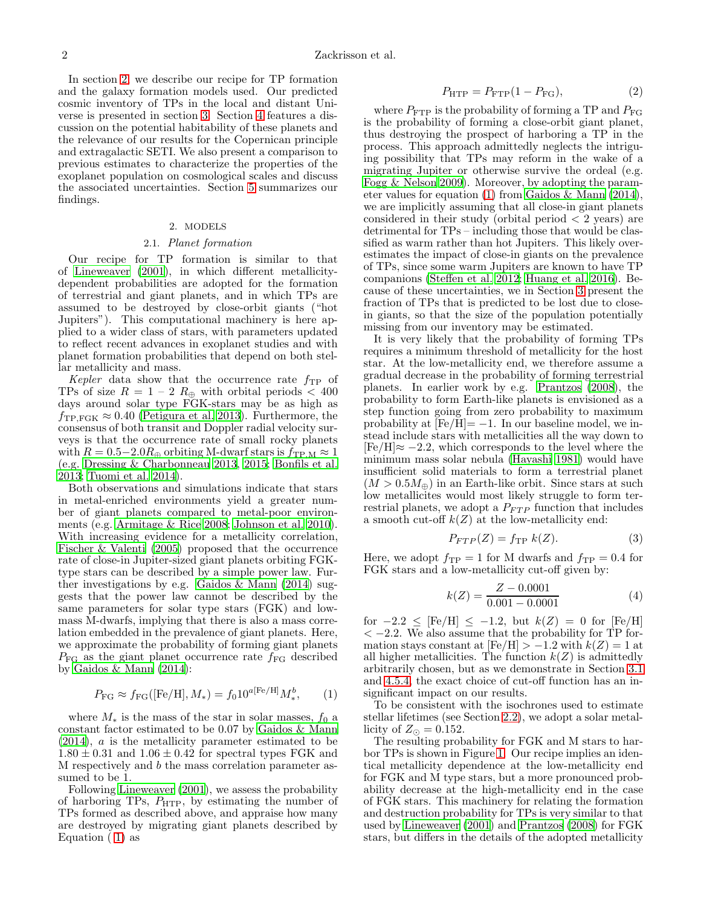In section [2,](#page-1-0) we describe our recipe for TP formation and the galaxy formation models used. Our predicted cosmic inventory of TPs in the local and distant Universe is presented in section [3.](#page-2-0) Section [4](#page-6-0) features a discussion on the potential habitability of these planets and the relevance of our results for the Copernican principle and extragalactic SETI. We also present a comparison to previous estimates to characterize the properties of the exoplanet population on cosmological scales and discuss the associated uncertainties. Section [5](#page-10-0) summarizes our findings.

# 2. MODELS

# 2.1. Planet formation

<span id="page-1-3"></span><span id="page-1-0"></span>Our recipe for TP formation is similar to that of [Lineweaver \(2001\)](#page-11-1), in which different metallicitydependent probabilities are adopted for the formation of terrestrial and giant planets, and in which TPs are assumed to be destroyed by close-orbit giants ("hot Jupiters"). This computational machinery is here applied to a wider class of stars, with parameters updated to reflect recent advances in exoplanet studies and with planet formation probabilities that depend on both stellar metallicity and mass.

Kepler data show that the occurrence rate  $f_{\rm TP}$  of TPs of size  $R = 1 - 2 R_{\oplus}$  with orbital periods < 400 days around solar type FGK-stars may be as high as  $f_{\rm TP,FGK} \approx 0.40$  [\(Petigura et al. 2013\)](#page-11-24). Furthermore, the consensus of both transit and Doppler radial velocity surveys is that the occurrence rate of small rocky planets with  $R = 0.5 - 2.0R_{\oplus}$  orbiting M-dwarf stars is  $f_{\rm TP,M} \approx 1$ (e.g. [Dressing & Charbonneau 2013,](#page-11-25) [2015;](#page-11-26) [Bonfils et al.](#page-11-7) [2013;](#page-11-7) [Tuomi et al. 2014\)](#page-12-10).

Both observations and simulations indicate that stars in metal-enriched environments yield a greater number of giant planets compared to metal-poor environments (e.g. [Armitage & Rice 2008;](#page-11-27) [Johnson et al. 2010\)](#page-11-28). With increasing evidence for a metallicity correlation, [Fischer & Valenti \(2005\)](#page-11-29) proposed that the occurrence rate of close-in Jupiter-sized giant planets orbiting FGKtype stars can be described by a simple power law. Further investigations by e.g. Gaidos  $\&$  Mann (2014) suggests that the power law cannot be described by the same parameters for solar type stars (FGK) and lowmass M-dwarfs, implying that there is also a mass correlation embedded in the prevalence of giant planets. Here, we approximate the probability of forming giant planets  $P_{\text{FG}}$  as the giant planet occurrence rate  $f_{\text{FG}}$  described by [Gaidos & Mann \(2014\)](#page-11-30):

<span id="page-1-1"></span>
$$
P_{\rm FG} \approx f_{\rm FG} ([\rm Fe/H], M_*) = f_0 10^{a [\rm Fe/H]} M_*^b, \qquad (1)
$$

where  $M_*$  is the mass of the star in solar masses,  $f_0$  a constant factor estimated to be 0.07 by [Gaidos & Mann](#page-11-30) [\(2014\)](#page-11-30), a is the metallicity parameter estimated to be  $1.80 \pm 0.31$  and  $1.06 \pm 0.42$  for spectral types FGK and M respectively and b the mass correlation parameter assumed to be 1.

Following [Lineweaver \(2001\)](#page-11-1), we assess the probability of harboring TPs,  $P_{\text{HTP}}$ , by estimating the number of TPs formed as described above, and appraise how many are destroyed by migrating giant planets described by Equation ( [1\)](#page-1-1) as

<span id="page-1-2"></span>
$$
P_{\text{HTP}} = P_{\text{FTP}}(1 - P_{\text{FG}}),\tag{2}
$$

where  $P_{\text{FTP}}$  is the probability of forming a TP and  $P_{\text{FG}}$ is the probability of forming a close-orbit giant planet, thus destroying the prospect of harboring a TP in the process. This approach admittedly neglects the intriguing possibility that TPs may reform in the wake of a migrating Jupiter or otherwise survive the ordeal (e.g. [Fogg & Nelson 2009](#page-11-31)). Moreover, by adopting the parameter values for equation [\(1\)](#page-1-1) from [Gaidos & Mann \(2014](#page-11-30)), we are implicitly assuming that all close-in giant planets considered in their study (orbital period  $\langle 2 \rangle$  years) are detrimental for TPs – including those that would be classified as warm rather than hot Jupiters. This likely overestimates the impact of close-in giants on the prevalence of TPs, since some warm Jupiters are known to have TP companions [\(Steffen et al. 2012;](#page-12-11) [Huang et al. 2016](#page-11-32)). Because of these uncertainties, we in Section [3](#page-2-0) present the fraction of TPs that is predicted to be lost due to closein giants, so that the size of the population potentially missing from our inventory may be estimated.

It is very likely that the probability of forming TPs requires a minimum threshold of metallicity for the host star. At the low-metallicity end, we therefore assume a gradual decrease in the probability of forming terrestrial planets. In earlier work by e.g. [Prantzos \(2008\)](#page-11-4), the probability to form Earth-like planets is envisioned as a step function going from zero probability to maximum probability at  $[Fe/H] = -1$ . In our baseline model, we instead include stars with metallicities all the way down to  $[Fe/H] \approx -2.2$ , which corresponds to the level where the minimum mass solar nebula [\(Hayashi 1981\)](#page-11-33) would have insufficient solid materials to form a terrestrial planet  $(M > 0.5M_{\oplus})$  in an Earth-like orbit. Since stars at such low metallicites would most likely struggle to form terrestrial planets, we adopt a  $P_{FTP}$  function that includes a smooth cut-off  $k(Z)$  at the low-metallicity end:

$$
P_{FTP}(Z) = f_{TP} k(Z). \tag{3}
$$

Here, we adopt  $f_{\rm TP} = 1$  for M dwarfs and  $f_{\rm TP} = 0.4$  for FGK stars and a low-metallicity cut-off given by:

$$
k(Z) = \frac{Z - 0.0001}{0.001 - 0.0001} \tag{4}
$$

for  $-2.2 \leq$  [Fe/H]  $\leq -1.2$ , but  $k(Z) = 0$  for [Fe/H]  $<-2.2$ . We also assume that the probability for TP formation stays constant at  $[Fe/H] > -1.2$  with  $k(Z) = 1$  at all higher metallicities. The function  $k(Z)$  is admittedly arbitrarily chosen, but as we demonstrate in Section [3.1](#page-2-1) and [4.5.4,](#page-10-1) the exact choice of cut-off function has an insignificant impact on our results.

To be consistent with the isochrones used to estimate stellar lifetimes (see Section [2.2\)](#page-2-2), we adopt a solar metallicity of  $Z_{\odot} = 0.152$ .

The resulting probability for FGK and M stars to harbor TPs is shown in Figure [1.](#page-2-3) Our recipe implies an identical metallicity dependence at the low-metallicity end for FGK and M type stars, but a more pronounced probability decrease at the high-metallicity end in the case of FGK stars. This machinery for relating the formation and destruction probability for TPs is very similar to that used by [Lineweaver \(2001](#page-11-1)) and [Prantzos \(2008\)](#page-11-4) for FGK stars, but differs in the details of the adopted metallicity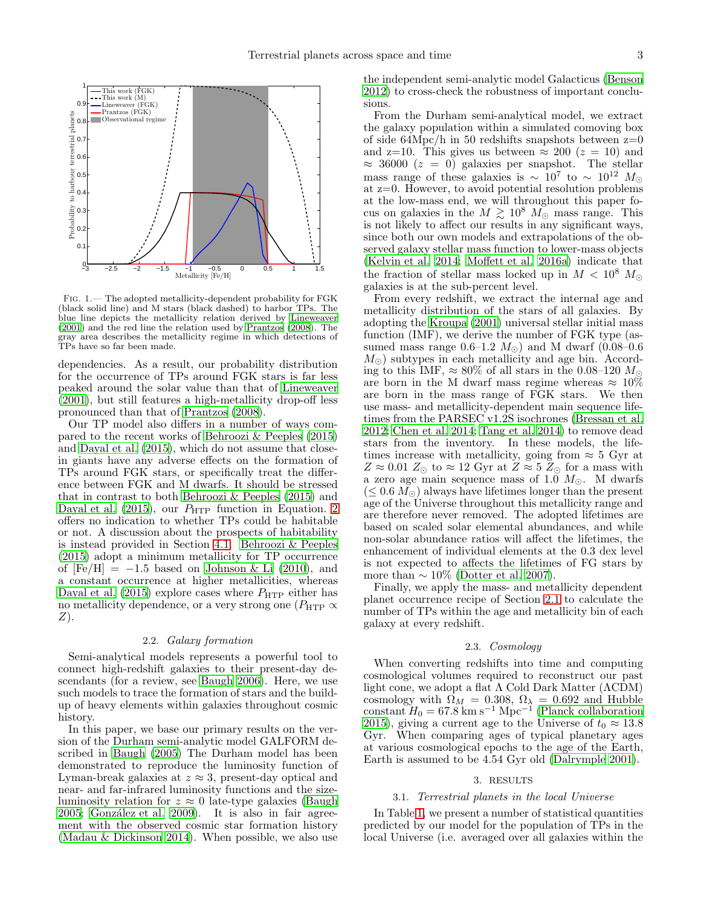

<span id="page-2-3"></span>Fig. 1.— The adopted metallicity-dependent probability for FGK (black solid line) and M stars (black dashed) to harbor TPs. The blue line depicts the metallicity relation derived by [Lineweaver](#page-11-1) [\(2001\)](#page-11-1) and the red line the relation used by [Prantzos \(2008](#page-11-4)). The gray area describes the metallicity regime in which detections of TPs have so far been made.

dependencies. As a result, our probability distribution for the occurrence of TPs around FGK stars is far less peaked around the solar value than that of [Lineweaver](#page-11-1) [\(2001\)](#page-11-1), but still features a high-metallicity drop-off less pronounced than that of [Prantzos \(2008\)](#page-11-4).

Our TP model also differs in a number of ways compared to the recent works of [Behroozi & Peeples \(2015](#page-11-12)) and [Dayal et al. \(2015](#page-11-9)), which do not assume that closein giants have any adverse effects on the formation of TPs around FGK stars, or specifically treat the difference between FGK and M dwarfs. It should be stressed that in contrast to both [Behroozi & Peeples \(2015\)](#page-11-12) and [Dayal et al. \(2015\)](#page-11-9), our  $P_{\text{HTP}}$  function in Equation. [2](#page-1-2) offers no indication to whether TPs could be habitable or not. A discussion about the prospects of habitability is instead provided in Section [4.1.](#page-6-1) [Behroozi & Peeples](#page-11-12) [\(2015\)](#page-11-12) adopt a minimum metallicity for TP occurrence of  $[Fe/H] = -1.5$  based on [Johnson & Li \(2010](#page-11-34)), and a constant occurrence at higher metallicities, whereas [Dayal et al. \(2015\)](#page-11-9) explore cases where  $P_{\text{HTP}}$  either has no metallicity dependence, or a very strong one ( $P_{\text{HTP}} \propto$ Z).

# 2.2. Galaxy formation

<span id="page-2-2"></span>Semi-analytical models represents a powerful tool to connect high-redshift galaxies to their present-day descendants (for a review, see [Baugh 2006](#page-11-35)). Here, we use such models to trace the formation of stars and the buildup of heavy elements within galaxies throughout cosmic history.

In this paper, we base our primary results on the version of the Durham semi-analytic model GALFORM described in [Baugh \(2005](#page-11-36)) The Durham model has been demonstrated to reproduce the luminosity function of Lyman-break galaxies at  $z \approx 3$ , present-day optical and near- and far-infrared luminosity functions and the sizeluminosity relation for  $z \approx 0$  late-type galaxies [\(Baugh](#page-11-36) [2005;](#page-11-36) González et al. 2009). It is also in fair agreement with the observed cosmic star formation history [\(Madau & Dickinson 2014](#page-11-38)). When possible, we also use the independent semi-analytic model Galacticus [\(Benson](#page-11-39) [2012\)](#page-11-39) to cross-check the robustness of important conclusions.

From the Durham semi-analytical model, we extract the galaxy population within a simulated comoving box of side  $64Mpc/h$  in 50 redshifts snapshots between  $z=0$ and z=10. This gives us between  $\approx 200$  ( $z = 10$ ) and  $\approx$  36000 ( $z = 0$ ) galaxies per snapshot. The stellar mass range of these galaxies is  $\sim 10^7$  to  $\sim 10^{12}$   $M_{\odot}$ at z=0. However, to avoid potential resolution problems at the low-mass end, we will throughout this paper focus on galaxies in the  $M \gtrsim 10^8$   $M_{\odot}$  mass range. This is not likely to affect our results in any significant ways, since both our own models and extrapolations of the observed galaxy stellar mass function to lower-mass objects [\(Kelvin et al. 2014;](#page-11-40) [Moffett et al. 2016a\)](#page-11-41) indicate that the fraction of stellar mass locked up in  $M < 10^8 M_{\odot}$ galaxies is at the sub-percent level.

From every redshift, we extract the internal age and metallicity distribution of the stars of all galaxies. By adopting the [Kroupa \(2001\)](#page-11-42) universal stellar initial mass function (IMF), we derive the number of FGK type (assumed mass range  $0.6-1.2$   $M_{\odot}$ ) and M dwarf (0.08–0.6  $M_{\odot}$ ) subtypes in each metallicity and age bin. According to this IMF,  $\approx 80\%$  of all stars in the 0.08–120  $M_{\odot}$ are born in the M dwarf mass regime whereas  $\approx 10\%$ are born in the mass range of FGK stars. We then use mass- and metallicity-dependent main sequence lifetimes from the PARSEC v1.2S isochrones [\(Bressan et al.](#page-11-43) [2012;](#page-11-43) [Chen et al. 2014](#page-11-44); [Tang et al. 2014\)](#page-12-12) to remove dead stars from the inventory. In these models, the lifetimes increase with metallicity, going from  $\approx$  5 Gyr at  $Z \approx 0.01 Z_{\odot}$  to  $\approx 12$  Gyr at  $Z \approx 5 Z_{\odot}$  for a mass with a zero age main sequence mass of 1.0  $M_{\odot}$ . M dwarfs  $(\leq 0.6 M_{\odot})$  always have lifetimes longer than the present age of the Universe throughout this metallicity range and are therefore never removed. The adopted lifetimes are based on scaled solar elemental abundances, and while non-solar abundance ratios will affect the lifetimes, the enhancement of individual elements at the 0.3 dex level is not expected to affects the lifetimes of FG stars by more than  $\sim 10\%$  [\(Dotter et al. 2007](#page-11-45)).

Finally, we apply the mass- and metallicity dependent planet occurrence recipe of Section [2.1](#page-1-3) to calculate the number of TPs within the age and metallicity bin of each galaxy at every redshift.

## 2.3. Cosmology

When converting redshifts into time and computing cosmological volumes required to reconstruct our past light cone, we adopt a flat Λ Cold Dark Matter (ΛCDM) cosmology with  $\Omega_M = 0.308, \Omega_{\lambda} = 0.692$  and Hubble constant  $H_0 = 67.8$  km s<sup>-1</sup> Mpc<sup>-1</sup> [\(Planck collaboration](#page-11-46) [2015\)](#page-11-46), giving a current age to the Universe of  $t_0 \approx 13.8$ Gyr. When comparing ages of typical planetary ages at various cosmological epochs to the age of the Earth, Earth is assumed to be 4.54 Gyr old [\(Dalrymple 2001\)](#page-11-47).

# 3. RESULTS

#### <span id="page-2-1"></span><span id="page-2-0"></span>3.1. Terrestrial planets in the local Universe

In Table [1,](#page-3-0) we present a number of statistical quantities predicted by our model for the population of TPs in the local Universe (i.e. averaged over all galaxies within the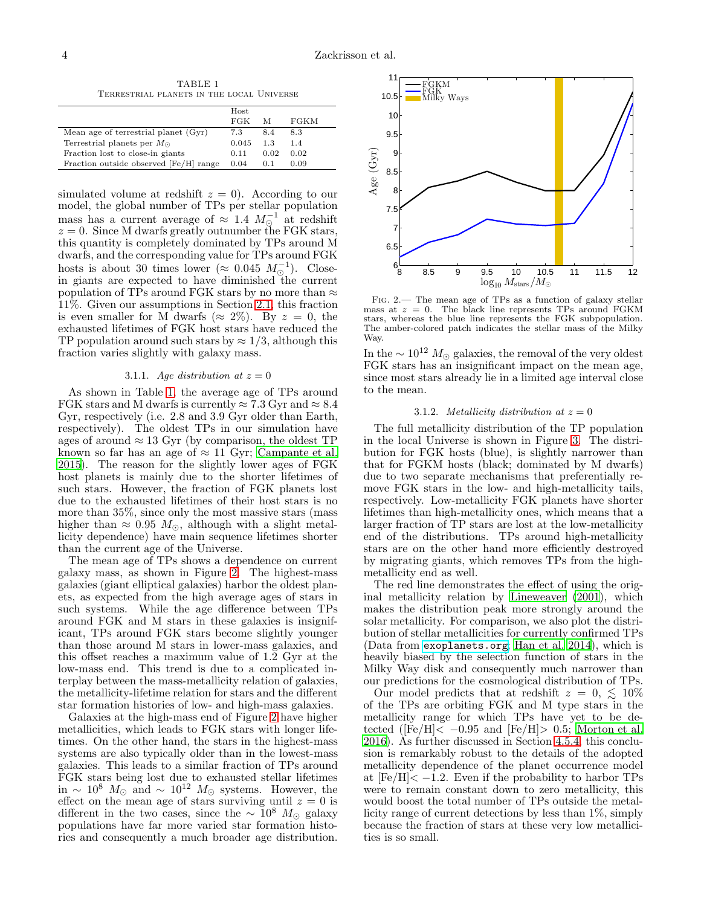TABLE 1 Terrestrial planets in the local Universe

<span id="page-3-0"></span>

|                                        | Host  |      |      |
|----------------------------------------|-------|------|------|
|                                        | FGK   | М    | FGKM |
| Mean age of terrestrial planet (Gyr)   | 7.3   | 8.4  | 8.3  |
| Terrestrial planets per $M_{\odot}$    | 0.045 | 1.3  | 1.4  |
| Fraction lost to close-in giants       | 0.11  | 0.02 | 0.02 |
| Fraction outside observed [Fe/H] range | 0.04  | 0.1  | 0.09 |

simulated volume at redshift  $z = 0$ . According to our model, the global number of TPs per stellar population mass has a current average of  $\approx 1.4 M_{\odot}^{-1}$  at redshift  $z = 0$ . Since M dwarfs greatly outnumber the FGK stars, this quantity is completely dominated by TPs around M dwarfs, and the corresponding value for TPs around FGK hosts is about 30 times lower ( $\approx 0.045$   $M_{\odot}^{-1}$ ). Closein giants are expected to have diminished the current population of TPs around FGK stars by no more than  $\approx$ 11%. Given our assumptions in Section [2.1,](#page-1-3) this fraction is even smaller for M dwarfs ( $\approx 2\%$ ). By  $z = 0$ , the exhausted lifetimes of FGK host stars have reduced the TP population around such stars by  $\approx 1/3$ , although this fraction varies slightly with galaxy mass.

### 3.1.1. Age distribution at  $z = 0$

As shown in Table [1,](#page-3-0) the average age of TPs around FGK stars and M dwarfs is currently  $\approx 7.3$  Gyr and  $\approx 8.4$ Gyr, respectively (i.e. 2.8 and 3.9 Gyr older than Earth, respectively). The oldest TPs in our simulation have ages of around  $\approx 13$  Gyr (by comparison, the oldest TP known so far has an age of  $\approx 11$  Gyr; [Campante et al.](#page-11-48) [2015\)](#page-11-48). The reason for the slightly lower ages of FGK host planets is mainly due to the shorter lifetimes of such stars. However, the fraction of FGK planets lost due to the exhausted lifetimes of their host stars is no more than 35%, since only the most massive stars (mass higher than  $\approx 0.95$   $M_{\odot}$ , although with a slight metallicity dependence) have main sequence lifetimes shorter than the current age of the Universe.

The mean age of TPs shows a dependence on current galaxy mass, as shown in Figure [2.](#page-3-1) The highest-mass galaxies (giant elliptical galaxies) harbor the oldest planets, as expected from the high average ages of stars in such systems. While the age difference between TPs around FGK and M stars in these galaxies is insignificant, TPs around FGK stars become slightly younger than those around M stars in lower-mass galaxies, and this offset reaches a maximum value of 1.2 Gyr at the low-mass end. This trend is due to a complicated interplay between the mass-metallicity relation of galaxies, the metallicity-lifetime relation for stars and the different star formation histories of low- and high-mass galaxies.

Galaxies at the high-mass end of Figure [2](#page-3-1) have higher metallicities, which leads to FGK stars with longer lifetimes. On the other hand, the stars in the highest-mass systems are also typically older than in the lowest-mass galaxies. This leads to a similar fraction of TPs around FGK stars being lost due to exhausted stellar lifetimes in ∼ 10<sup>8</sup>  $M_{\odot}$  and ~ 10<sup>12</sup>  $M_{\odot}$  systems. However, the effect on the mean age of stars surviving until  $z = 0$  is different in the two cases, since the  $\sim 10^8$  M<sub>☉</sub> galaxy populations have far more varied star formation histories and consequently a much broader age distribution.



<span id="page-3-1"></span>Fig. 2.— The mean age of TPs as a function of galaxy stellar mass at  $z = 0$ . The black line represents TPs around FGKM stars, whereas the blue line represents the FGK subpopulation. The amber-colored patch indicates the stellar mass of the Milky Way.

In the  $\sim 10^{12}~M_{\odot}$  galaxies, the removal of the very oldest FGK stars has an insignificant impact on the mean age, since most stars already lie in a limited age interval close to the mean.

#### 3.1.2. Metallicity distribution at  $z = 0$

The full metallicity distribution of the TP population in the local Universe is shown in Figure [3.](#page-4-0) The distribution for FGK hosts (blue), is slightly narrower than that for FGKM hosts (black; dominated by M dwarfs) due to two separate mechanisms that preferentially remove FGK stars in the low- and high-metallicity tails, respectively. Low-metallicity FGK planets have shorter lifetimes than high-metallicity ones, which means that a larger fraction of TP stars are lost at the low-metallicity end of the distributions. TPs around high-metallicity stars are on the other hand more efficiently destroyed by migrating giants, which removes TPs from the highmetallicity end as well.

The red line demonstrates the effect of using the original metallicity relation by [Lineweaver \(2001\)](#page-11-1), which makes the distribution peak more strongly around the solar metallicity. For comparison, we also plot the distribution of stellar metallicities for currently confirmed TPs (Data from <exoplanets.org>; [Han et al. 2014\)](#page-11-49), which is heavily biased by the selection function of stars in the Milky Way disk and consequently much narrower than our predictions for the cosmological distribution of TPs.

Our model predicts that at redshift  $z = 0, \leq 10\%$ of the TPs are orbiting FGK and M type stars in the metallicity range for which TPs have yet to be detected ( $|\tilde{Fe}/H| \le -0.95$  and  $[Fe/H] > 0.5$ ; [Morton et al.](#page-11-50) [2016\)](#page-11-50). As further discussed in Section [4.5.4,](#page-10-1) this conclusion is remarkably robust to the details of the adopted metallicity dependence of the planet occurrence model at  $[Fe/H] < -1.2$ . Even if the probability to harbor TPs were to remain constant down to zero metallicity, this would boost the total number of TPs outside the metallicity range of current detections by less than 1%, simply because the fraction of stars at these very low metallicities is so small.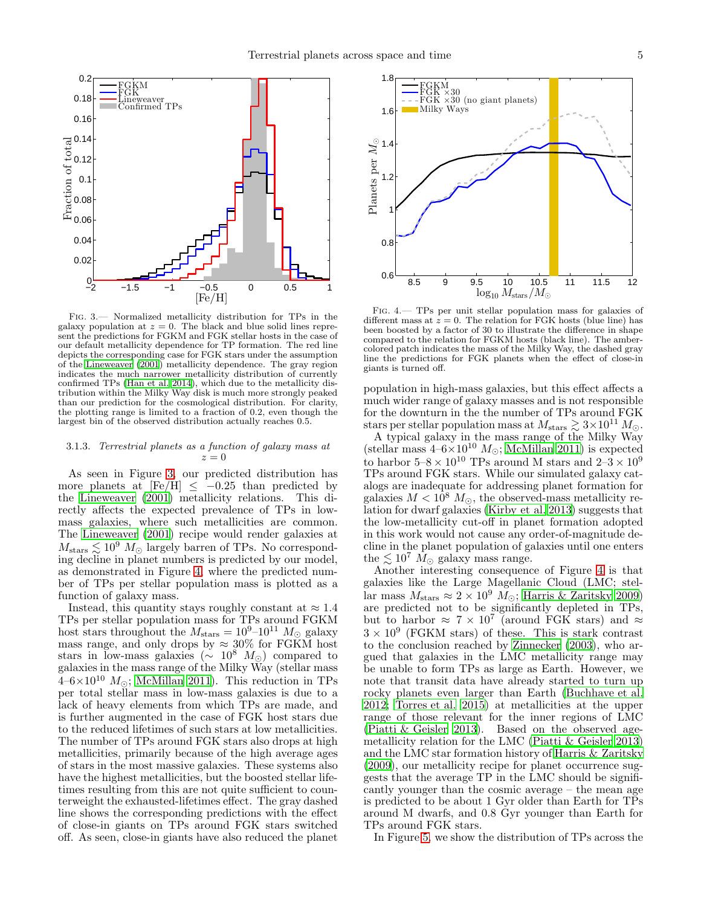

<span id="page-4-0"></span>Fig. 3.— Normalized metallicity distribution for TPs in the galaxy population at  $z = 0$ . The black and blue solid lines represent the predictions for FGKM and FGK stellar hosts in the case of our default metallicity dependence for TP formation. The red line depicts the corresponding case for FGK stars under the assumption of the [Lineweaver \(2001](#page-11-1)) metallicity dependence. The gray region indicates the much narrower metallicity distribution of currently confirmed TPs [\(Han et al. 2014](#page-11-49)), which due to the metallicity distribution within the Milky Way disk is much more strongly peaked than our prediction for the cosmological distribution. For clarity, the plotting range is limited to a fraction of 0.2, even though the largest bin of the observed distribution actually reaches 0.5.

### 3.1.3. Terrestrial planets as a function of galaxy mass at  $z=0$

As seen in Figure [3,](#page-4-0) our predicted distribution has more planets at  $[Fe/H] < -0.25$  than predicted by the [Lineweaver \(2001\)](#page-11-1) metallicity relations. This directly affects the expected prevalence of TPs in lowmass galaxies, where such metallicities are common. The [Lineweaver \(2001\)](#page-11-1) recipe would render galaxies at  $M_{\text{stars}} \lesssim 10^9 \ M_{\odot}$  largely barren of TPs. No corresponding decline in planet numbers is predicted by our model, as demonstrated in Figure [4,](#page-4-1) where the predicted number of TPs per stellar population mass is plotted as a function of galaxy mass.

Instead, this quantity stays roughly constant at  $\approx 1.4$ TPs per stellar population mass for TPs around FGKM host stars throughout the  $M_{\text{stars}} = 10^9 \text{--} 10^{11} M_{\odot}$  galaxy mass range, and only drops by  $\approx 30\%$  for FGKM host stars in low-mass galaxies ( $\sim 10^8$  M<sub>☉</sub>) compared to galaxies in the mass range of the Milky Way (stellar mass  $4-6\times10^{10}$  M<sub>o</sub>; [McMillan 2011](#page-11-51)). This reduction in TPs per total stellar mass in low-mass galaxies is due to a lack of heavy elements from which TPs are made, and is further augmented in the case of FGK host stars due to the reduced lifetimes of such stars at low metallicities. The number of TPs around FGK stars also drops at high metallicities, primarily because of the high average ages of stars in the most massive galaxies. These systems also have the highest metallicities, but the boosted stellar lifetimes resulting from this are not quite sufficient to counterweight the exhausted-lifetimes effect. The gray dashed line shows the corresponding predictions with the effect of close-in giants on TPs around FGK stars switched off. As seen, close-in giants have also reduced the planet



<span id="page-4-1"></span>Fig. 4.— TPs per unit stellar population mass for galaxies of different mass at  $z = 0$ . The relation for FGK hosts (blue line) has been boosted by a factor of 30 to illustrate the difference in shape compared to the relation for FGKM hosts (black line). The ambercolored patch indicates the mass of the Milky Way, the dashed gray line the predictions for FGK planets when the effect of close-in giants is turned off.

population in high-mass galaxies, but this effect affects a much wider range of galaxy masses and is not responsible for the downturn in the the number of TPs around FGK stars per stellar population mass at  $M_{\text{stars}} \gtrsim 3 \times 10^{11} M_{\odot}$ .

A typical galaxy in the mass range of the Milky Way (stellar mass  $4-6\times10^{10}$  M<sub>o</sub>; [McMillan 2011\)](#page-11-51) is expected to harbor  $5-8 \times 10^{10}$  TPs around M stars and  $2-3 \times 10^9$ TPs around FGK stars. While our simulated galaxy catalogs are inadequate for addressing planet formation for galaxies  $M < 10^8 M_{\odot}$ , the observed-mass metallicity relation for dwarf galaxies [\(Kirby et al. 2013\)](#page-11-52) suggests that the low-metallicity cut-off in planet formation adopted in this work would not cause any order-of-magnitude decline in the planet population of galaxies until one enters the  $\lesssim 10^7$   $M_{\odot}$  galaxy mass range.

Another interesting consequence of Figure [4](#page-4-1) is that galaxies like the Large Magellanic Cloud (LMC; stellar mass  $M_{\text{stars}} \approx 2 \times 10^9 M_{\odot}$ ; [Harris & Zaritsky 2009](#page-11-53)) are predicted not to be significantly depleted in TPs, but to harbor  $\approx 7 \times 10^7$  (around FGK stars) and  $\approx$  $3 \times 10^9$  (FGKM stars) of these. This is stark contrast to the conclusion reached by [Zinnecker \(2003\)](#page-12-13), who argued that galaxies in the LMC metallicity range may be unable to form TPs as large as Earth. However, we note that transit data have already started to turn up rocky planets even larger than Earth [\(Buchhave et al.](#page-11-54) [2012;](#page-11-54) [Torres et al. 2015\)](#page-12-14) at metallicities at the upper range of those relevant for the inner regions of LMC [\(Piatti & Geisler 2013\)](#page-11-55). Based on the observed agemetallicity relation for the LMC [\(Piatti & Geisler 2013](#page-11-55)) and the LMC star formation history of [Harris & Zaritsky](#page-11-53) [\(2009\)](#page-11-53), our metallicity recipe for planet occurrence suggests that the average TP in the LMC should be significantly younger than the cosmic average – the mean age is predicted to be about 1 Gyr older than Earth for TPs around M dwarfs, and 0.8 Gyr younger than Earth for TPs around FGK stars.

In Figure [5,](#page-5-0) we show the distribution of TPs across the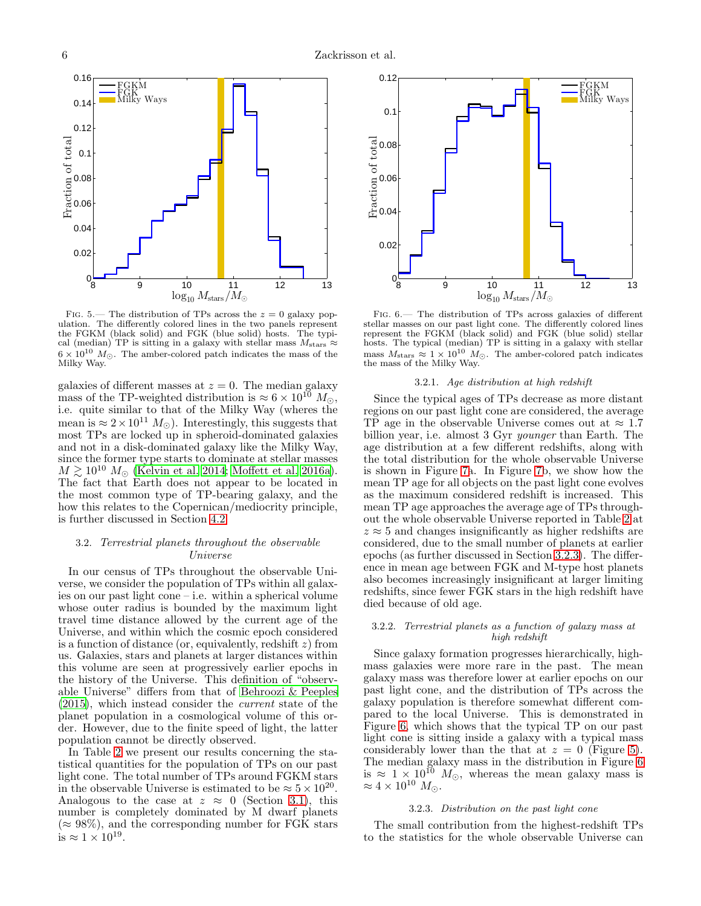

<span id="page-5-0"></span>FIG. 5.— The distribution of TPs across the  $z = 0$  galaxy population. The differently colored lines in the two panels represent the FGKM (black solid) and FGK (blue solid) hosts. The typical (median) TP is sitting in a galaxy with stellar mass  $M_{\text{stars}} \approx$  $6\times10^{10}$   $M_{\odot}.$  The amber-colored patch indicates the mass of the Milky Way.

galaxies of different masses at  $z = 0$ . The median galaxy mass of the TP-weighted distribution is  $\approx 6 \times 10^{10} M_{\odot}$ , i.e. quite similar to that of the Milky Way (wheres the mean is  $\approx 2 \times 10^{11} M_{\odot}$ ). Interestingly, this suggests that most TPs are locked up in spheroid-dominated galaxies and not in a disk-dominated galaxy like the Milky Way, since the former type starts to dominate at stellar masses  $M \gtrsim 10^{10} M_{\odot}$  [\(Kelvin et al. 2014;](#page-11-40) [Moffett et al. 2016a\)](#page-11-41). The fact that Earth does not appear to be located in the most common type of TP-bearing galaxy, and the how this relates to the Copernican/mediocrity principle, is further discussed in Section [4.2.](#page-7-0)

# <span id="page-5-3"></span>3.2. Terrestrial planets throughout the observable Universe

In our census of TPs throughout the observable Universe, we consider the population of TPs within all galaxies on our past light cone – i.e. within a spherical volume whose outer radius is bounded by the maximum light travel time distance allowed by the current age of the Universe, and within which the cosmic epoch considered is a function of distance (or, equivalently, redshift  $z$ ) from us. Galaxies, stars and planets at larger distances within this volume are seen at progressively earlier epochs in the history of the Universe. This definition of "observable Universe" differs from that of [Behroozi & Peeples](#page-11-12) [\(2015\)](#page-11-12), which instead consider the current state of the planet population in a cosmological volume of this order. However, due to the finite speed of light, the latter population cannot be directly observed.

In Table [2](#page-6-2) we present our results concerning the statistical quantities for the population of TPs on our past light cone. The total number of TPs around FGKM stars in the observable Universe is estimated to be  $\approx 5 \times 10^{20}$ . Analogous to the case at  $z \approx 0$  (Section [3.1\)](#page-2-1), this number is completely dominated by M dwarf planets  $(\approx 98\%)$ , and the corresponding number for FGK stars is  $\approx 1 \times 10^{19}$ .



<span id="page-5-2"></span>Fig. 6.— The distribution of TPs across galaxies of different stellar masses on our past light cone. The differently colored lines represent the FGKM (black solid) and FGK (blue solid) stellar hosts. The typical (median) TP is sitting in a galaxy with stellar mass  $M_{\rm stars} \approx 1 \times 10^{10}$   $M_{\odot}$ . The amber-colored patch indicates the mass of the Milky Way.

### 3.2.1. Age distribution at high redshift

Since the typical ages of TPs decrease as more distant regions on our past light cone are considered, the average TP age in the observable Universe comes out at  $\approx 1.7$ billion year, i.e. almost 3 Gyr younger than Earth. The age distribution at a few different redshifts, along with the total distribution for the whole observable Universe is shown in Figure [7a](#page-7-1). In Figure [7b](#page-7-1), we show how the mean TP age for all objects on the past light cone evolves as the maximum considered redshift is increased. This mean TP age approaches the average age of TPs throughout the whole observable Universe reported in Table [2](#page-6-2) at  $z \approx 5$  and changes insignificantly as higher redshifts are considered, due to the small number of planets at earlier epochs (as further discussed in Section [3.2.3\)](#page-5-1). The difference in mean age between FGK and M-type host planets also becomes increasingly insignificant at larger limiting redshifts, since fewer FGK stars in the high redshift have died because of old age.

### 3.2.2. Terrestrial planets as a function of galaxy mass at high redshift

Since galaxy formation progresses hierarchically, highmass galaxies were more rare in the past. The mean galaxy mass was therefore lower at earlier epochs on our past light cone, and the distribution of TPs across the galaxy population is therefore somewhat different compared to the local Universe. This is demonstrated in Figure [6,](#page-5-2) which shows that the typical TP on our past light cone is sitting inside a galaxy with a typical mass considerably lower than the that at  $z = 0$  (Figure [5\)](#page-5-0). The median galaxy mass in the distribution in Figure [6](#page-5-2) is  $\approx 1 \times 10^{10}$  M<sub>o</sub>, whereas the mean galaxy mass is  $\approx 4 \times 10^{10} M_{\odot}$ .

### 3.2.3. Distribution on the past light cone

<span id="page-5-1"></span>The small contribution from the highest-redshift TPs to the statistics for the whole observable Universe can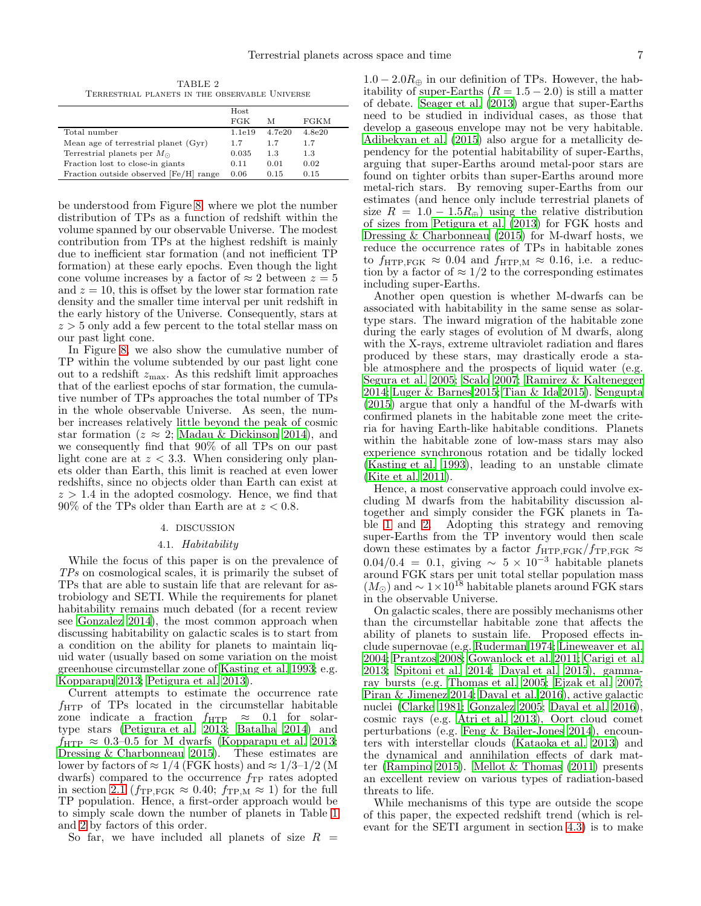TABLE 2 Terrestrial planets in the observable Universe

<span id="page-6-2"></span>

|                                        | Host   |        |        |
|----------------------------------------|--------|--------|--------|
|                                        | FGK    | М      | FGKM   |
| Total number                           | 1.1e19 | 4.7e20 | 4.8e20 |
| Mean age of terrestrial planet (Gyr)   | 1.7    | 1.7    | 1.7    |
| Terrestrial planets per $M_{\odot}$    | 0.035  | 1.3    | 1.3    |
| Fraction lost to close-in giants       | 0.11   | 0.01   | 0.02   |
| Fraction outside observed [Fe/H] range | 0.06   | 0.15   | 0.15   |

be understood from Figure [8,](#page-8-0) where we plot the number distribution of TPs as a function of redshift within the volume spanned by our observable Universe. The modest contribution from TPs at the highest redshift is mainly due to inefficient star formation (and not inefficient TP formation) at these early epochs. Even though the light cone volume increases by a factor of  $\approx 2$  between  $z = 5$ and  $z = 10$ , this is offset by the lower star formation rate density and the smaller time interval per unit redshift in the early history of the Universe. Consequently, stars at  $z > 5$  only add a few percent to the total stellar mass on our past light cone.

In Figure [8,](#page-8-0) we also show the cumulative number of TP within the volume subtended by our past light cone out to a redshift  $z_{\text{max}}$ . As this redshift limit approaches that of the earliest epochs of star formation, the cumulative number of TPs approaches the total number of TPs in the whole observable Universe. As seen, the number increases relatively little beyond the peak of cosmic star formation ( $z \approx 2$ ; [Madau & Dickinson 2014\)](#page-11-38), and we consequently find that 90% of all TPs on our past light cone are at  $z < 3.3$ . When considering only planets older than Earth, this limit is reached at even lower redshifts, since no objects older than Earth can exist at  $z > 1.4$  in the adopted cosmology. Hence, we find that  $90\%$  of the TPs older than Earth are at  $z < 0.8$ .

# 4. DISCUSSION

### 4.1. Habitability

<span id="page-6-1"></span><span id="page-6-0"></span>While the focus of this paper is on the prevalence of TPs on cosmological scales, it is primarily the subset of TPs that are able to sustain life that are relevant for astrobiology and SETI. While the requirements for planet habitability remains much debated (for a recent review see [Gonzalez 2014\)](#page-11-56), the most common approach when discussing habitability on galactic scales is to start from a condition on the ability for planets to maintain liquid water (usually based on some variation on the moist greenhouse circumstellar zone of [Kasting et al. 1993;](#page-11-57) e.g. [Kopparapu 2013;](#page-11-58) [Petigura et al. 2013\)](#page-11-24).

Current attempts to estimate the occurrence rate  $f_{\rm HTP}$  of TPs located in the circumstellar habitable zone indicate a fraction  $f_{\text{HTP}} \approx 0.1$  for solartype stars [\(Petigura et al. 2013;](#page-11-24) [Batalha 2014](#page-11-59)) and  $f_{\text{HTP}} \approx 0.3{\text -}0.5$  for M dwarfs [\(Kopparapu et al. 2013;](#page-11-60) [Dressing & Charbonneau 2015](#page-11-26)). These estimates are lower by factors of  $\approx 1/4$  (FGK hosts) and  $\approx 1/3-1/2$  (M dwarfs) compared to the occurrence  $f_{\text{TP}}$  rates adopted in section [2.1](#page-1-3) ( $f_{\text{TP,FGK}} \approx 0.40$ ;  $f_{\text{TP,M}} \approx 1$ ) for the full TP population. Hence, a first-order approach would be to simply scale down the number of planets in Table [1](#page-3-0) and [2](#page-6-2) by factors of this order.

So far, we have included all planets of size  $R =$ 

 $1.0 - 2.0R_{\oplus}$  in our definition of TPs. However, the habitability of super-Earths  $(R = 1.5 - 2.0)$  is still a matter of debate. [Seager et al. \(2013\)](#page-12-15) argue that super-Earths need to be studied in individual cases, as those that develop a gaseous envelope may not be very habitable. [Adibekyan et al. \(2015\)](#page-11-61) also argue for a metallicity dependency for the potential habitability of super-Earths, arguing that super-Earths around metal-poor stars are found on tighter orbits than super-Earths around more metal-rich stars. By removing super-Earths from our estimates (and hence only include terrestrial planets of size  $R = 1.0 - 1.5R_{\oplus}$  using the relative distribution of sizes from [Petigura et al. \(2013\)](#page-11-24) for FGK hosts and [Dressing & Charbonneau \(2015\)](#page-11-26) for M-dwarf hosts, we reduce the occurrence rates of TPs in habitable zones to  $f_{\text{HTP},\text{FGK}} \approx 0.04$  and  $f_{\text{HTP},\text{M}} \approx 0.16$ , i.e. a reduction by a factor of  $\approx 1/2$  to the corresponding estimates including super-Earths.

Another open question is whether M-dwarfs can be associated with habitability in the same sense as solartype stars. The inward migration of the habitable zone during the early stages of evolution of M dwarfs, along with the X-rays, extreme ultraviolet radiation and flares produced by these stars, may drastically erode a stable atmosphere and the prospects of liquid water (e.g. [Segura et al. 2005](#page-12-16); [Scalo 2007;](#page-12-17) [Ramirez & Kaltenegger](#page-11-62) [2014;](#page-11-62) [Luger & Barnes 2015;](#page-11-63) [Tian & Ida 2015\)](#page-12-18). [Sengupta](#page-12-19) [\(2015\)](#page-12-19) argue that only a handful of the M-dwarfs with confirmed planets in the habitable zone meet the criteria for having Earth-like habitable conditions. Planets within the habitable zone of low-mass stars may also experience synchronous rotation and be tidally locked [\(Kasting et al. 1993\)](#page-11-57), leading to an unstable climate [\(Kite et al. 2011](#page-11-64)).

Hence, a most conservative approach could involve excluding M dwarfs from the habitability discussion altogether and simply consider the FGK planets in Table [1](#page-3-0) and [2.](#page-6-2) Adopting this strategy and removing super-Earths from the TP inventory would then scale down these estimates by a factor  $f_{\text{HTP},\text{FGK}}/f_{\text{TP},\text{FGK}} \approx$  $0.04/0.4 = 0.1$ , giving  $\sim 5 \times 10^{-3}$  habitable planets around FGK stars per unit total stellar population mass  $(M_{\odot})$  and  $\sim 1 \times 10^{18}$  habitable planets around FGK stars in the observable Universe.

On galactic scales, there are possibly mechanisms other than the circumstellar habitable zone that affects the ability of planets to sustain life. Proposed effects include supernovae (e.g. [Ruderman 1974;](#page-12-20) [Lineweaver et al.](#page-11-3) [2004;](#page-11-3) [Prantzos 2008;](#page-11-4) [Gowanlock et al. 2011;](#page-11-5) [Carigi et al.](#page-11-8) [2013;](#page-11-8) [Spitoni et al. 2014;](#page-12-1) [Dayal et al. 2015\)](#page-11-9), gammaray bursts (e.g. [Thomas et al. 2005;](#page-12-21) [Ejzak et al. 2007](#page-11-65); [Piran & Jimenez 2014;](#page-11-66) [Dayal et al. 2016\)](#page-11-14), active galactic nuclei [\(Clarke 1981](#page-11-67); [Gonzalez 2005;](#page-11-68) [Dayal et al. 2016](#page-11-14)), cosmic rays (e.g. [Atri et al. 2013\)](#page-11-69), Oort cloud comet perturbations (e.g. [Feng & Bailer-Jones 2014\)](#page-11-70), encounters with interstellar clouds [\(Kataoka et al. 2013](#page-11-71)) and the dynamical and annihilation effects of dark matter [\(Rampino 2015\)](#page-11-72). [Mellot & Thomas \(2011\)](#page-11-73) presents an excellent review on various types of radiation-based threats to life.

While mechanisms of this type are outside the scope of this paper, the expected redshift trend (which is relevant for the SETI argument in section [4.3\)](#page-7-2) is to make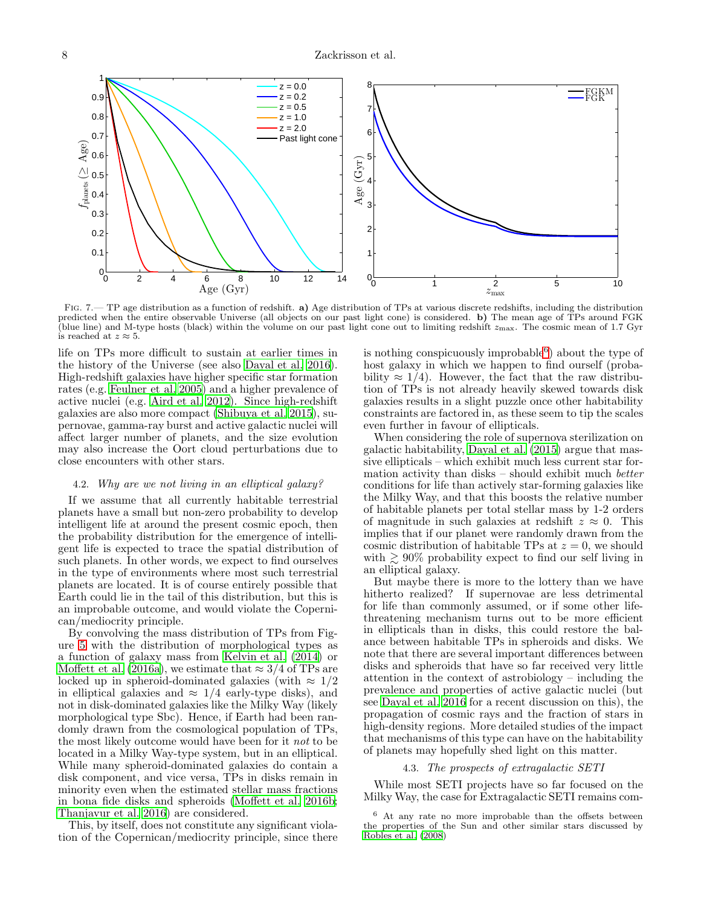

<span id="page-7-1"></span>FIG. 7.— TP age distribution as a function of redshift. a) Age distribution of TPs at various discrete redshifts, including the distribution predicted when the entire observable Universe (all objects on our past light cone) is considered. b) The mean age of TPs around FGK (blue line) and M-type hosts (black) within the volume on our past light cone out to limiting redshift  $z_{\text{max}}$ . The cosmic mean of 1.7 Gyr is reached at  $z \approx 5$ .

life on TPs more difficult to sustain at earlier times in the history of the Universe (see also [Dayal et al. 2016\)](#page-11-14). High-redshift galaxies have higher specific star formation rates (e.g. [Feulner et al. 2005\)](#page-11-74) and a higher prevalence of active nuclei (e.g. [Aird et al. 2012\)](#page-11-75). Since high-redshift galaxies are also more compact [\(Shibuya et al. 2015\)](#page-12-22), supernovae, gamma-ray burst and active galactic nuclei will affect larger number of planets, and the size evolution may also increase the Oort cloud perturbations due to close encounters with other stars.

# <span id="page-7-0"></span>4.2. Why are we not living in an elliptical galaxy?

If we assume that all currently habitable terrestrial planets have a small but non-zero probability to develop intelligent life at around the present cosmic epoch, then the probability distribution for the emergence of intelligent life is expected to trace the spatial distribution of such planets. In other words, we expect to find ourselves in the type of environments where most such terrestrial planets are located. It is of course entirely possible that Earth could lie in the tail of this distribution, but this is an improbable outcome, and would violate the Copernican/mediocrity principle.

By convolving the mass distribution of TPs from Figure [5](#page-5-0) with the distribution of morphological types as a function of galaxy mass from [Kelvin et al. \(2014\)](#page-11-40) or [Moffett et al. \(2016a\)](#page-11-41), we estimate that  $\approx 3/4$  of TPs are locked up in spheroid-dominated galaxies (with  $\approx 1/2$ ) in elliptical galaxies and  $\approx 1/4$  early-type disks), and not in disk-dominated galaxies like the Milky Way (likely morphological type Sbc). Hence, if Earth had been randomly drawn from the cosmological population of TPs, the most likely outcome would have been for it not to be located in a Milky Way-type system, but in an elliptical. While many spheroid-dominated galaxies do contain a disk component, and vice versa, TPs in disks remain in minority even when the estimated stellar mass fractions in bona fide disks and spheroids [\(Moffett et al. 2016b;](#page-11-76) [Thanjavur et al. 2016](#page-12-23)) are considered.

This, by itself, does not constitute any significant violation of the Copernican/mediocrity principle, since there

is nothing conspicuously improbable<sup>[6](#page-7-3)</sup>) about the type of host galaxy in which we happen to find ourself (probability  $\approx 1/4$ ). However, the fact that the raw distribution of TPs is not already heavily skewed towards disk galaxies results in a slight puzzle once other habitability constraints are factored in, as these seem to tip the scales even further in favour of ellipticals.

When considering the role of supernova sterilization on galactic habitability, [Dayal et al. \(2015\)](#page-11-9) argue that massive ellipticals – which exhibit much less current star formation activity than disks – should exhibit much better conditions for life than actively star-forming galaxies like the Milky Way, and that this boosts the relative number of habitable planets per total stellar mass by 1-2 orders of magnitude in such galaxies at redshift  $z \approx 0$ . This implies that if our planet were randomly drawn from the cosmic distribution of habitable TPs at  $z = 0$ , we should with  $\geq 90\%$  probability expect to find our self living in an elliptical galaxy.

But maybe there is more to the lottery than we have hitherto realized? If supernovae are less detrimental for life than commonly assumed, or if some other lifethreatening mechanism turns out to be more efficient in ellipticals than in disks, this could restore the balance between habitable TPs in spheroids and disks. We note that there are several important differences between disks and spheroids that have so far received very little attention in the context of astrobiology – including the prevalence and properties of active galactic nuclei (but see [Dayal et al. 2016](#page-11-14) for a recent discussion on this), the propagation of cosmic rays and the fraction of stars in high-density regions. More detailed studies of the impact that mechanisms of this type can have on the habitability of planets may hopefully shed light on this matter.

# 4.3. The prospects of extragalactic SETI

<span id="page-7-2"></span>While most SETI projects have so far focused on the Milky Way, the case for Extragalactic SETI remains com-

<span id="page-7-3"></span><sup>6</sup> At any rate no more improbable than the offsets between the properties of the Sun and other similar stars discussed by [Robles et al. \(2008\)](#page-12-24)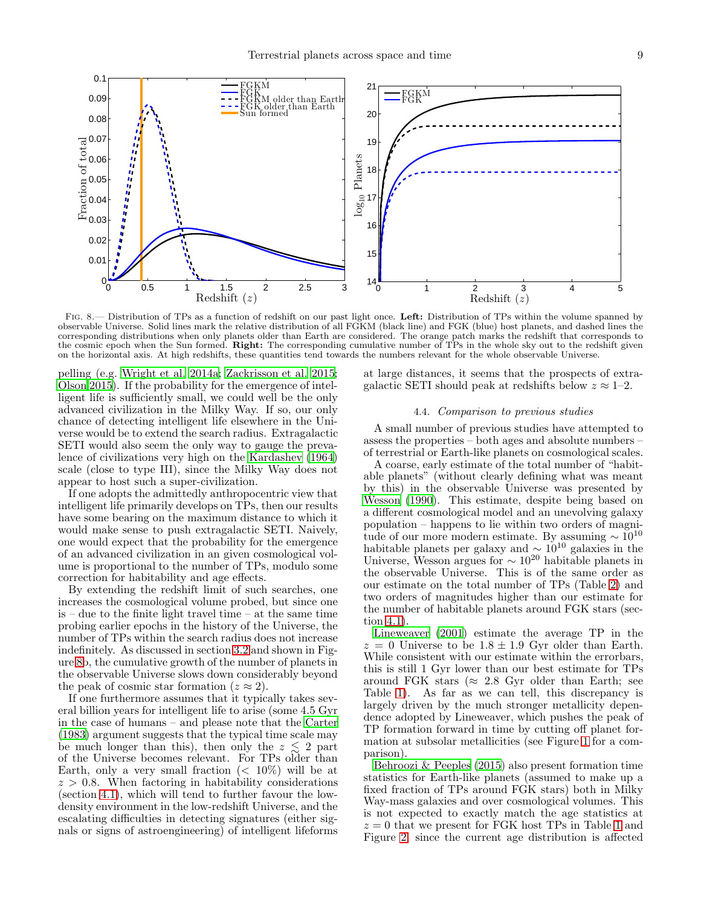

<span id="page-8-0"></span>FIG. 8.— Distribution of TPs as a function of redshift on our past light once. Left: Distribution of TPs within the volume spanned by observable Universe. Solid lines mark the relative distribution of all FGKM (black line) and FGK (blue) host planets, and dashed lines the corresponding distributions when only planets older than Earth are considered. The orange patch marks the redshift that corresponds to the cosmic epoch when the Sun formed. Right: The corresponding cumulative number of TPs in the whole sky out to the redshift given on the horizontal axis. At high redshifts, these quantities tend towards the numbers relevant for the whole observable Universe.

pelling (e.g. [Wright et al. 2014a;](#page-12-7) [Zackrisson et al. 2015;](#page-12-9) [Olson 2015](#page-11-13)). If the probability for the emergence of intelligent life is sufficiently small, we could well be the only advanced civilization in the Milky Way. If so, our only chance of detecting intelligent life elsewhere in the Universe would be to extend the search radius. Extragalactic SETI would also seem the only way to gauge the prevalence of civilizations very high on the [Kardashev \(1964](#page-11-77)) scale (close to type III), since the Milky Way does not appear to host such a super-civilization.

If one adopts the admittedly anthropocentric view that intelligent life primarily develops on TPs, then our results have some bearing on the maximum distance to which it would make sense to push extragalactic SETI. Naively, one would expect that the probability for the emergence of an advanced civilization in an given cosmological volume is proportional to the number of TPs, modulo some correction for habitability and age effects.

By extending the redshift limit of such searches, one increases the cosmological volume probed, but since one is – due to the finite light travel time – at the same time probing earlier epochs in the history of the Universe, the number of TPs within the search radius does not increase indefinitely. As discussed in section [3.2](#page-5-3) and shown in Figure [8b](#page-8-0), the cumulative growth of the number of planets in the observable Universe slows down considerably beyond the peak of cosmic star formation  $(z \approx 2)$ .

If one furthermore assumes that it typically takes several billion years for intelligent life to arise (some 4.5 Gyr in the case of humans – and please note that the [Carter](#page-11-78) [\(1983\)](#page-11-78) argument suggests that the typical time scale may be much longer than this), then only the  $z \leq 2$  part of the Universe becomes relevant. For TPs older than Earth, only a very small fraction  $\langle \langle 10\% \rangle$  will be at  $z > 0.8$ . When factoring in habitability considerations (section [4.1\)](#page-6-1), which will tend to further favour the lowdensity environment in the low-redshift Universe, and the escalating difficulties in detecting signatures (either signals or signs of astroengineering) of intelligent lifeforms <span id="page-8-1"></span>at large distances, it seems that the prospects of extragalactic SETI should peak at redshifts below  $z \approx 1-2$ .

### 4.4. Comparison to previous studies

A small number of previous studies have attempted to assess the properties – both ages and absolute numbers – of terrestrial or Earth-like planets on cosmological scales.

A coarse, early estimate of the total number of "habitable planets" (without clearly defining what was meant by this) in the observable Universe was presented by [Wesson \(1990](#page-12-4)). This estimate, despite being based on a different cosmological model and an unevolving galaxy population – happens to lie within two orders of magnitude of our more modern estimate. By assuming  $\sim 10^{10}$ habitable planets per galaxy and  $\sim 10^{10}$  galaxies in the Universe, Wesson argues for  $\sim 10^{20}$  habitable planets in the observable Universe. This is of the same order as our estimate on the total number of TPs (Table [2\)](#page-6-2) and two orders of magnitudes higher than our estimate for the number of habitable planets around FGK stars (section [4.1\)](#page-6-1).

[Lineweaver \(2001\)](#page-11-1) estimate the average TP in the  $z = 0$  Universe to be  $1.8 \pm 1.9$  Gyr older than Earth. While consistent with our estimate within the errorbars, this is still 1 Gyr lower than our best estimate for TPs around FGK stars ( $\approx 2.8$  Gyr older than Earth; see Table [1\)](#page-3-0). As far as we can tell, this discrepancy is largely driven by the much stronger metallicity dependence adopted by Lineweaver, which pushes the peak of TP formation forward in time by cutting off planet formation at subsolar metallicities (see Figure [1](#page-2-3) for a comparison).

[Behroozi & Peeples \(2015\)](#page-11-12) also present formation time statistics for Earth-like planets (assumed to make up a fixed fraction of TPs around FGK stars) both in Milky Way-mass galaxies and over cosmological volumes. This is not expected to exactly match the age statistics at  $z = 0$  that we present for FGK host TPs in Table [1](#page-3-0) and Figure [2,](#page-3-1) since the current age distribution is affected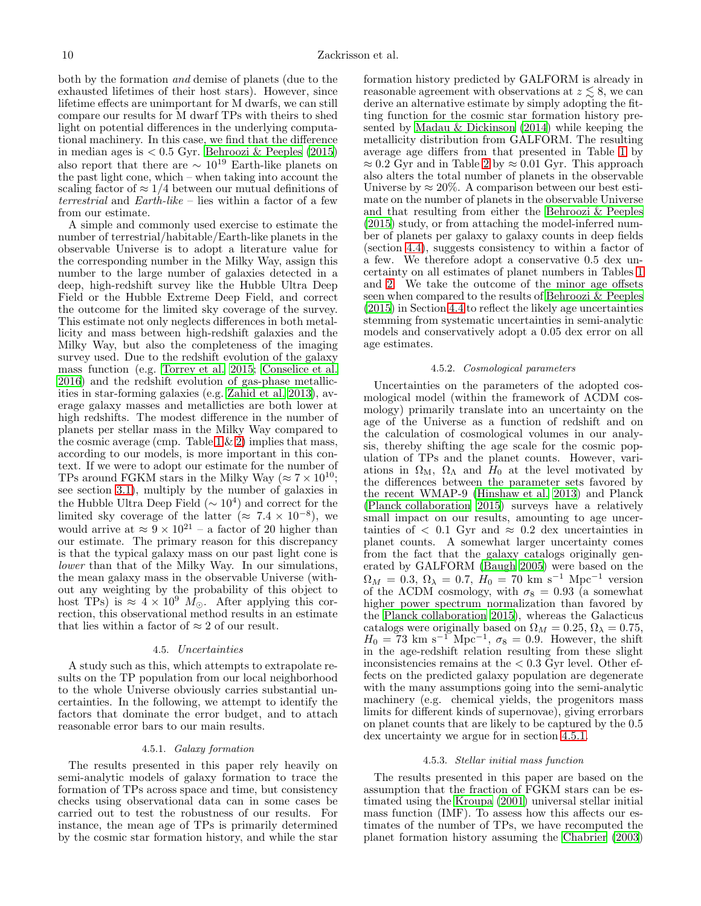both by the formation and demise of planets (due to the exhausted lifetimes of their host stars). However, since lifetime effects are unimportant for M dwarfs, we can still compare our results for M dwarf TPs with theirs to shed light on potential differences in the underlying computational machinery. In this case, we find that the difference in median ages is < 0.5 Gyr. [Behroozi & Peeples \(2015](#page-11-12)) also report that there are  $\sim 10^{19}$  Earth-like planets on the past light cone, which – when taking into account the scaling factor of  $\approx 1/4$  between our mutual definitions of terrestrial and Earth-like – lies within a factor of a few from our estimate.

A simple and commonly used exercise to estimate the number of terrestrial/habitable/Earth-like planets in the observable Universe is to adopt a literature value for the corresponding number in the Milky Way, assign this number to the large number of galaxies detected in a deep, high-redshift survey like the Hubble Ultra Deep Field or the Hubble Extreme Deep Field, and correct the outcome for the limited sky coverage of the survey. This estimate not only neglects differences in both metallicity and mass between high-redshift galaxies and the Milky Way, but also the completeness of the imaging survey used. Due to the redshift evolution of the galaxy mass function (e.g. [Torrey et al. 2015;](#page-12-25) [Conselice et al.](#page-11-79) [2016\)](#page-11-79) and the redshift evolution of gas-phase metallicities in star-forming galaxies (e.g. [Zahid et al. 2013](#page-12-26)), average galaxy masses and metallicties are both lower at high redshifts. The modest difference in the number of planets per stellar mass in the Milky Way compared to the cosmic average (cmp. Table  $1 \& 2$ ) implies that mass, according to our models, is more important in this context. If we were to adopt our estimate for the number of TPs around FGKM stars in the Milky Way ( $\approx 7 \times 10^{10}$ ; see section [3.1\)](#page-2-1), multiply by the number of galaxies in the Hubble Ultra Deep Field  $({\sim 10^4})$  and correct for the limited sky coverage of the latter ( $\approx 7.4 \times 10^{-8}$ ), we would arrive at  $\approx 9 \times 10^{21}$  – a factor of 20 higher than our estimate. The primary reason for this discrepancy is that the typical galaxy mass on our past light cone is lower than that of the Milky Way. In our simulations, the mean galaxy mass in the observable Universe (without any weighting by the probability of this object to host TPs) is  $\approx 4 \times 10^9$  M<sub>o</sub>. After applying this correction, this observational method results in an estimate that lies within a factor of  $\approx 2$  of our result.

## 4.5. Uncertainties

A study such as this, which attempts to extrapolate results on the TP population from our local neighborhood to the whole Universe obviously carries substantial uncertainties. In the following, we attempt to identify the factors that dominate the error budget, and to attach reasonable error bars to our main results.

### 4.5.1. Galaxy formation

<span id="page-9-0"></span>The results presented in this paper rely heavily on semi-analytic models of galaxy formation to trace the formation of TPs across space and time, but consistency checks using observational data can in some cases be carried out to test the robustness of our results. For instance, the mean age of TPs is primarily determined by the cosmic star formation history, and while the star

formation history predicted by GALFORM is already in reasonable agreement with observations at  $z \leq 8$ , we can derive an alternative estimate by simply adopting the fitting function for the cosmic star formation history presented by [Madau & Dickinson \(2014\)](#page-11-38) while keeping the metallicity distribution from GALFORM. The resulting average age differs from that presented in Table [1](#page-3-0) by  $\approx 0.2$  Gyr and in Table [2](#page-6-2) by  $\approx 0.01$  Gyr. This approach also alters the total number of planets in the observable Universe by  $\approx 20\%$ . A comparison between our best estimate on the number of planets in the observable Universe and that resulting from either the [Behroozi & Peeples](#page-11-12) [\(2015\)](#page-11-12) study, or from attaching the model-inferred number of planets per galaxy to galaxy counts in deep fields (section [4.4\)](#page-8-1), suggests consistency to within a factor of a few. We therefore adopt a conservative 0.5 dex uncertainty on all estimates of planet numbers in Tables [1](#page-3-0) and [2.](#page-6-2) We take the outcome of the minor age offsets seen when compared to the results of Behroozi  $\&$  Peeples [\(2015\)](#page-11-12) in Section [4.4](#page-8-1) to reflect the likely age uncertainties stemming from systematic uncertainties in semi-analytic models and conservatively adopt a 0.05 dex error on all age estimates.

#### 4.5.2. Cosmological parameters

Uncertainties on the parameters of the adopted cosmological model (within the framework of ΛCDM cosmology) primarily translate into an uncertainty on the age of the Universe as a function of redshift and on the calculation of cosmological volumes in our analysis, thereby shifting the age scale for the cosmic population of TPs and the planet counts. However, variations in  $\Omega_M$ ,  $\Omega_{\Lambda}$  and  $H_0$  at the level motivated by the differences between the parameter sets favored by the recent WMAP-9 [\(Hinshaw et al. 2013\)](#page-11-80) and Planck [\(Planck collaboration 2015](#page-11-46)) surveys have a relatively small impact on our results, amounting to age uncertainties of  $\langle 0.1 \text{ Gyr} \rangle$  and  $\approx 0.2 \text{ dex}$  uncertainties in planet counts. A somewhat larger uncertainty comes from the fact that the galaxy catalogs originally generated by GALFORM [\(Baugh 2005\)](#page-11-36) were based on the  $\Omega_M = 0.3, \Omega_{\lambda} = 0.7, H_0 = 70 \text{ km s}^{-1} \text{ Mpc}^{-1} \text{ version}$ of the  $\Lambda$ CDM cosmology, with  $\sigma_8 = 0.93$  (a somewhat higher power spectrum normalization than favored by the [Planck collaboration 2015](#page-11-46)), whereas the Galacticus catalogs were originally based on  $\Omega_M = 0.25$ ,  $\Omega_{\lambda} = 0.75$ ,  $H_0 = 73$  km s<sup>-1</sup> Mpc<sup>-1</sup>,  $\sigma_8 = 0.9$ . However, the shift in the age-redshift relation resulting from these slight inconsistencies remains at the  $< 0.3$  Gyr level. Other effects on the predicted galaxy population are degenerate with the many assumptions going into the semi-analytic machinery (e.g. chemical yields, the progenitors mass limits for different kinds of supernovae), giving errorbars on planet counts that are likely to be captured by the 0.5 dex uncertainty we argue for in section [4.5.1.](#page-9-0)

#### 4.5.3. Stellar initial mass function

The results presented in this paper are based on the assumption that the fraction of FGKM stars can be estimated using the [Kroupa \(2001\)](#page-11-42) universal stellar initial mass function (IMF). To assess how this affects our estimates of the number of TPs, we have recomputed the planet formation history assuming the [Chabrier \(2003](#page-11-81))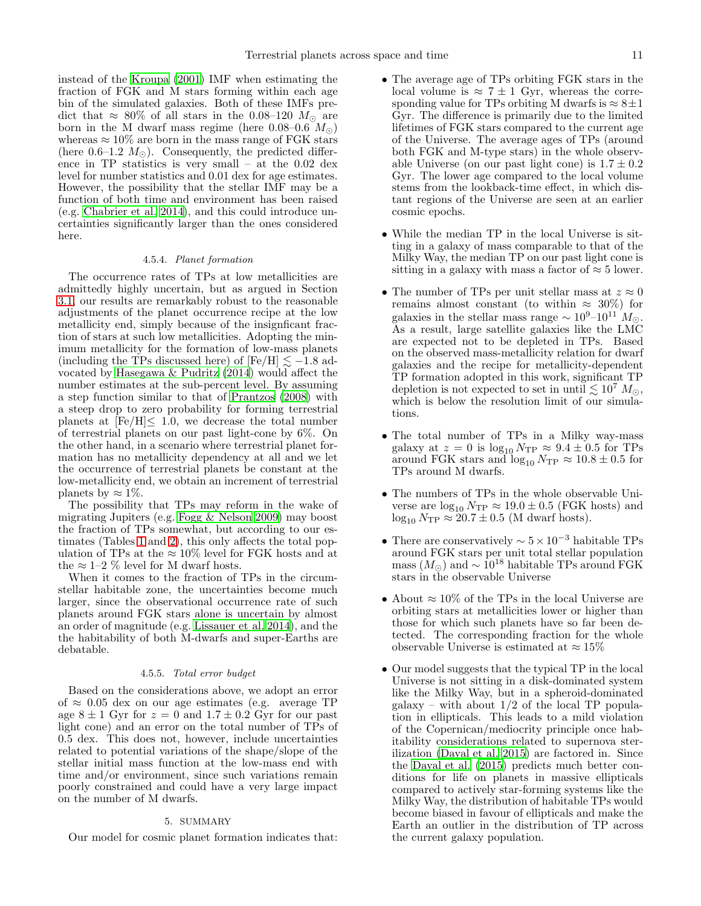instead of the [Kroupa \(2001](#page-11-42)) IMF when estimating the fraction of FGK and M stars forming within each age bin of the simulated galaxies. Both of these IMFs predict that  $\approx 80\%$  of all stars in the 0.08–120  $M_{\odot}$  are born in the M dwarf mass regime (here 0.08–0.6  $M_{\odot}$ ) whereas  $\approx 10\%$  are born in the mass range of FGK stars (here 0.6–1.2  $M_{\odot}$ ). Consequently, the predicted difference in TP statistics is very small – at the 0.02 dex level for number statistics and 0.01 dex for age estimates. However, the possibility that the stellar IMF may be a function of both time and environment has been raised (e.g. [Chabrier et al. 2014](#page-11-82)), and this could introduce uncertainties significantly larger than the ones considered here.

### 4.5.4. Planet formation

<span id="page-10-1"></span>The occurrence rates of TPs at low metallicities are admittedly highly uncertain, but as argued in Section [3.1,](#page-2-1) our results are remarkably robust to the reasonable adjustments of the planet occurrence recipe at the low metallicity end, simply because of the insignficant fraction of stars at such low metallicities. Adopting the minimum metallicity for the formation of low-mass planets (including the TPs discussed here) of  $[Fe/H] \le -1.8$  advocated by [Hasegawa & Pudritz \(2014](#page-11-83)) would affect the number estimates at the sub-percent level. By assuming a step function similar to that of [Prantzos \(2008\)](#page-11-4) with a steep drop to zero probability for forming terrestrial planets at  $[Fe/H] \leq 1.0$ , we decrease the total number of terrestrial planets on our past light-cone by 6%. On the other hand, in a scenario where terrestrial planet formation has no metallicity dependency at all and we let the occurrence of terrestrial planets be constant at the low-metallicity end, we obtain an increment of terrestrial planets by  $\approx 1\%$ .

The possibility that TPs may reform in the wake of migrating Jupiters (e.g. [Fogg & Nelson 2009\)](#page-11-31) may boost the fraction of TPs somewhat, but according to our estimates (Tables [1](#page-3-0) and [2\)](#page-6-2), this only affects the total population of TPs at the  $\approx 10\%$  level for FGK hosts and at the  $\approx 1-2$  % level for M dwarf hosts.

When it comes to the fraction of TPs in the circumstellar habitable zone, the uncertainties become much larger, since the observational occurrence rate of such planets around FGK stars alone is uncertain by almost an order of magnitude (e.g. [Lissauer et al. 2014\)](#page-11-84), and the the habitability of both M-dwarfs and super-Earths are debatable.

### 4.5.5. Total error budget

Based on the considerations above, we adopt an error of ≈ 0.05 dex on our age estimates (e.g. average TP age  $8 \pm 1$  Gyr for  $z = 0$  and  $1.7 \pm 0.2$  Gyr for our past light cone) and an error on the total number of TPs of 0.5 dex. This does not, however, include uncertainties related to potential variations of the shape/slope of the stellar initial mass function at the low-mass end with time and/or environment, since such variations remain poorly constrained and could have a very large impact on the number of M dwarfs.

### 5. SUMMARY

<span id="page-10-0"></span>Our model for cosmic planet formation indicates that:

- The average age of TPs orbiting FGK stars in the local volume is  $\approx 7 \pm 1$  Gyr, whereas the corresponding value for TPs orbiting M dwarfs is  $\approx 8 \pm 1$ Gyr. The difference is primarily due to the limited lifetimes of FGK stars compared to the current age of the Universe. The average ages of TPs (around both FGK and M-type stars) in the whole observable Universe (on our past light cone) is  $1.7 \pm 0.2$ Gyr. The lower age compared to the local volume stems from the lookback-time effect, in which distant regions of the Universe are seen at an earlier cosmic epochs.
- While the median TP in the local Universe is sitting in a galaxy of mass comparable to that of the Milky Way, the median TP on our past light cone is sitting in a galaxy with mass a factor of  $\approx$  5 lower.
- The number of TPs per unit stellar mass at  $z \approx 0$ remains almost constant (to within  $\approx 30\%$ ) for galaxies in the stellar mass range  $\sim 10^{9}$ – $10^{11}$  M<sub>∩</sub>. As a result, large satellite galaxies like the LMC are expected not to be depleted in TPs. Based on the observed mass-metallicity relation for dwarf galaxies and the recipe for metallicity-dependent TP formation adopted in this work, significant TP depletion is not expected to set in until  $\lesssim 10^7$   $M_{\odot}$ , which is below the resolution limit of our simulations.
- The total number of TPs in a Milky way-mass galaxy at  $z = 0$  is  $\log_{10} N_{\text{TP}} \approx 9.4 \pm 0.5$  for TPs around FGK stars and  $\log_{10} N_{\text{TP}} \approx 10.8 \pm 0.5$  for TPs around M dwarfs.
- The numbers of TPs in the whole observable Universe are  $\log_{10} N_{\text{TP}} \approx 19.0 \pm 0.5$  (FGK hosts) and  $\log_{10} N_{\text{TP}} \approx 20.7 \pm 0.5$  (M dwarf hosts).
- There are conservatively  $\sim 5 \times 10^{-3}$  habitable TPs around FGK stars per unit total stellar population mass  $(M_{\odot})$  and  $\sim 10^{18}$  habitable TPs around FGK stars in the observable Universe
- About  $\approx 10\%$  of the TPs in the local Universe are orbiting stars at metallicities lower or higher than those for which such planets have so far been detected. The corresponding fraction for the whole observable Universe is estimated at  $\approx 15\%$
- Our model suggests that the typical TP in the local Universe is not sitting in a disk-dominated system like the Milky Way, but in a spheroid-dominated  $\text{galaxy}$  – with about  $1/2$  of the local TP population in ellipticals. This leads to a mild violation of the Copernican/mediocrity principle once habitability considerations related to supernova sterilization [\(Dayal et al. 2015](#page-11-9)) are factored in. Since the [Dayal et al. \(2015](#page-11-9)) predicts much better conditions for life on planets in massive ellipticals compared to actively star-forming systems like the Milky Way, the distribution of habitable TPs would become biased in favour of ellipticals and make the Earth an outlier in the distribution of TP across the current galaxy population.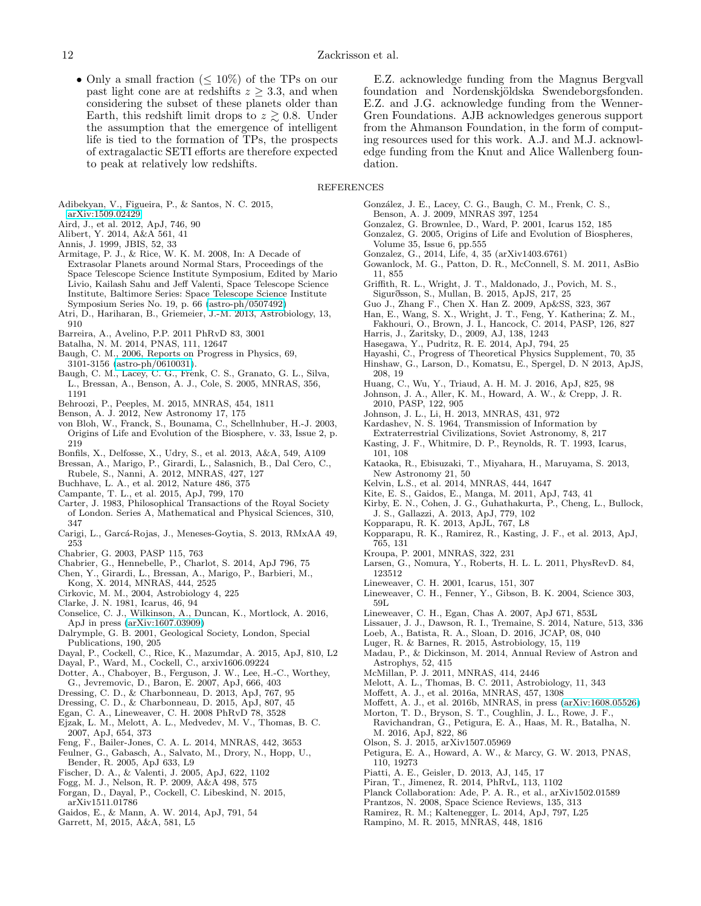• Only a small fraction ( $\leq 10\%$ ) of the TPs on our past light cone are at redshifts  $z \geq 3.3$ , and when considering the subset of these planets older than Earth, this redshift limit drops to  $z \gtrsim 0.8$ . Under the assumption that the emergence of intelligent life is tied to the formation of TPs, the prospects of extragalactic SETI efforts are therefore expected to peak at relatively low redshifts.

E.Z. acknowledge funding from the Magnus Bergvall foundation and Nordenskjöldska Swendeborgsfonden. E.Z. and J.G. acknowledge funding from the Wenner-Gren Foundations. AJB acknowledges generous support from the Ahmanson Foundation, in the form of computing resources used for this work. A.J. and M.J. acknowledge funding from the Knut and Alice Wallenberg foundation.

# **REFERENCES**

- <span id="page-11-61"></span>Adibekyan, V., Figueira, P., & Santos, N. C. 2015, [arXiv:1509.02429](http://arxiv.org/abs/1509.02429)
- <span id="page-11-75"></span>Aird, J., et al. 2012, ApJ, 746, 90
- <span id="page-11-23"></span>Alibert, Y. 2014, A&A 561, 41
- <span id="page-11-20"></span>Annis, J. 1999, JBIS, 52, 33
- <span id="page-11-27"></span>Armitage, P. J., & Rice, W. K. M. 2008, In: A Decade of Extrasolar Planets around Normal Stars, Proceedings of the Space Telescope Science Institute Symposium, Edited by Mario Livio, Kailash Sahu and Jeff Valenti, Space Telescope Science Institute, Baltimore Series: Space Telescope Science Institute Symposium Series No. 19, p. 66 [\(astro-ph/0507492\)](http://arxiv.org/abs/astro-ph/0507492)
- <span id="page-11-69"></span>Atri, D., Hariharan, B., Griemeier, J.-M. 2013, Astrobiology, 13, 910
- <span id="page-11-18"></span>Barreira, A., Avelino, P.P. 2011 PhRvD 83, 3001
- <span id="page-11-59"></span>Batalha, N. M. 2014, PNAS, 111, 12647
- <span id="page-11-35"></span>Baugh, C. M., 2006, Reports on Progress in Physics, 69, 3101-3156 [\(astro-ph/0610031\)](http://arxiv.org/abs/astro-ph/0610031).
- <span id="page-11-36"></span>Baugh, C. M., Lacey, C. G., Frenk, C. S., Granato, G. L., Silva, L., Bressan, A., Benson, A. J., Cole, S. 2005, MNRAS, 356, 1191
- <span id="page-11-12"></span>Behroozi, P., Peeples, M. 2015, MNRAS, 454, 1811
- <span id="page-11-39"></span>Benson, A. J. 2012, New Astronomy 17, 175
- <span id="page-11-2"></span>von Bloh, W., Franck, S., Bounama, C., Schellnhuber, H.-J. 2003, Origins of Life and Evolution of the Biosphere, v. 33, Issue 2, p. 219
- <span id="page-11-7"></span>Bonfils, X., Delfosse, X., Udry, S., et al. 2013, A&A, 549, A109
- <span id="page-11-43"></span>Bressan, A., Marigo, P., Girardi, L., Salasnich, B., Dal Cero, C.,
- Rubele, S., Nanni, A. 2012, MNRAS, 427, 127
- <span id="page-11-54"></span>Buchhave, L. A., et al. 2012, Nature 486, 375
- <span id="page-11-48"></span>Campante, T. L., et al. 2015, ApJ, 799, 170
- <span id="page-11-78"></span>Carter, J. 1983, Philosophical Transactions of the Royal Society of London. Series A, Mathematical and Physical Sciences, 310, 347
- <span id="page-11-8"></span>Carigi, L., Garcá-Rojas, J., Meneses-Goytia, S. 2013, RMxAA 49, 253
- <span id="page-11-81"></span>Chabrier, G. 2003, PASP 115, 763
- <span id="page-11-82"></span>Chabrier, G., Hennebelle, P., Charlot, S. 2014, ApJ 796, 75
- <span id="page-11-44"></span>Chen, Y., Girardi, L., Bressan, A., Marigo, P., Barbieri, M.,
- Kong, X. 2014, MNRAS, 444, 2525
- <span id="page-11-16"></span>Cirkovic, M. M., 2004, Astrobiology 4, 225
- <span id="page-11-67"></span>Clarke, J. N. 1981, Icarus, 46, 94
- <span id="page-11-79"></span>Conselice, C. J., Wilkinson, A., Duncan, K., Mortlock, A. 2016, ApJ in press [\(arXiv:1607.03909\)](http://arxiv.org/abs/1607.03909)
- <span id="page-11-47"></span>Dalrymple, G. B. 2001, Geological Society, London, Special Publications, 190, 205
- <span id="page-11-9"></span>Dayal, P., Cockell, C., Rice, K., Mazumdar, A. 2015, ApJ, 810, L2
- <span id="page-11-14"></span>Dayal, P., Ward, M., Cockell, C., arxiv1606.09224
- <span id="page-11-45"></span>Dotter, A., Chaboyer, B., Ferguson, J. W., Lee, H.-C., Worthey, G., Jevremovic, D., Baron, E. 2007, ApJ, 666, 403
- <span id="page-11-25"></span>Dressing, C. D., & Charbonneau, D. 2013, ApJ, 767, 95
- <span id="page-11-26"></span>Dressing, C. D., & Charbonneau, D. 2015, ApJ, 807, 45
- <span id="page-11-17"></span>Egan, C. A., Lineweaver, C. H. 2008 PhRvD 78, 3528
- <span id="page-11-65"></span>Ejzak, L. M., Melott, A. L., Medvedev, M. V., Thomas, B. C. 2007, ApJ, 654, 373
- <span id="page-11-70"></span>Feng, F., Bailer-Jones, C. A. L. 2014, MNRAS, 442, 3653
- <span id="page-11-74"></span>Feulner, G., Gabasch, A., Salvato, M., Drory, N., Hopp, U., Bender, R. 2005, ApJ 633, L9
- <span id="page-11-29"></span>Fischer, D. A., & Valenti, J. 2005, ApJ, 622, 1102
- <span id="page-11-31"></span>Fogg, M. J., Nelson, R. P. 2009, A&A 498, 575
- <span id="page-11-10"></span>Forgan, D., Dayal, P., Cockell, C. Libeskind, N. 2015, arXiv1511.01786
- <span id="page-11-30"></span>Gaidos, E., & Mann, A. W. 2014, ApJ, 791, 54
- <span id="page-11-22"></span>Garrett, M, 2015, A&A, 581, L5
- <span id="page-11-37"></span>González, J. E., Lacey, C. G., Baugh, C. M., Frenk, C. S.,
- Benson, A. J. 2009, MNRAS 397, 1254
- <span id="page-11-0"></span>Gonzalez, G. Brownlee, D., Ward, P. 2001, Icarus 152, 185 Gonzalez, G. 2005, Origins of Life and Evolution of Biospheres,
- <span id="page-11-68"></span>Volume 35, Issue 6, pp.555
- <span id="page-11-56"></span>Gonzalez, G., 2014, Life, 4, 35 (arXiv1403.6761)
- <span id="page-11-5"></span>Gowanlock, M. G., Patton, D. R., McConnell, S. M. 2011, AsBio 11, 855
- <span id="page-11-21"></span>Griffith, R. L., Wright, J. T., Maldonado, J., Povich, M. S., Sigurðsson, S., Mullan, B. 2015, ApJS, 217, 25
- <span id="page-11-6"></span>Guo J., Zhang F., Chen X. Han Z. 2009, Ap&SS, 323, 367
- <span id="page-11-49"></span>Han, E., Wang, S. X., Wright, J. T., Feng, Y. Katherina; Z. M., Fakhouri, O., Brown, J. I., Hancock, C. 2014, PASP, 126, 827
- <span id="page-11-53"></span>Harris, J., Zaritsky, D., 2009, AJ, 138, 1243 Hasegawa, Y., Pudritz, R. E. 2014, ApJ, 794, 25
- <span id="page-11-83"></span><span id="page-11-33"></span>Hayashi, C., Progress of Theoretical Physics Supplement, 70, 35
- <span id="page-11-80"></span>Hinshaw, G., Larson, D., Komatsu, E., Spergel, D. N 2013, ApJS, 208, 19
- <span id="page-11-32"></span>Huang, C., Wu, Y., Triaud, A. H. M. J. 2016, ApJ, 825, 98
- <span id="page-11-28"></span>Johnson, J. A., Aller, K. M., Howard, A. W., & Crepp, J. R. 2010, PASP, 122, 905
- Johnson, J. L., Li, H. 2013, MNRAS, 431, 972
- <span id="page-11-77"></span><span id="page-11-34"></span>Kardashev, N. S. 1964, Transmission of Information by
- Extraterrestrial Civilizations, Soviet Astronomy, 8, 217
- <span id="page-11-57"></span>Kasting, J. F., Whitmire, D. P., Reynolds, R. T. 1993, Icarus, 101, 108
- <span id="page-11-71"></span>Kataoka, R., Ebisuzaki, T., Miyahara, H., Maruyama, S. 2013, New Astronomy 21, 50
- <span id="page-11-40"></span>Kelvin, L.S., et al. 2014, MNRAS, 444, 1647
- <span id="page-11-64"></span>Kite, E. S., Gaidos, E., Manga, M. 2011, ApJ, 743, 41
- <span id="page-11-52"></span>Kirby, E. N., Cohen, J. G., Guhathakurta, P., Cheng, L., Bullock, J. S., Gallazzi, A. 2013, ApJ, 779, 102
- <span id="page-11-58"></span>Kopparapu, R. K. 2013, ApJL, 767, L8
- <span id="page-11-60"></span>Kopparapu, R. K., Ramirez, R., Kasting, J. F., et al. 2013, ApJ, 765, 131
- <span id="page-11-42"></span>Kroupa, P. 2001, MNRAS, 322, 231
- <span id="page-11-19"></span>Larsen, G., Nomura, Y., Roberts, H. L. L. 2011, PhysRevD. 84, 123512
- <span id="page-11-1"></span>Lineweaver, C. H. 2001, Icarus, 151, 307
- <span id="page-11-3"></span>Lineweaver, C. H., Fenner, Y., Gibson, B. K. 2004, Science 303, 59L
- <span id="page-11-11"></span>Lineweaver, C. H., Egan, Chas A. 2007, ApJ 671, 853L
- <span id="page-11-84"></span>Lissauer, J. J., Dawson, R. I., Tremaine, S. 2014, Nature, 513, 336
- <span id="page-11-15"></span>Loeb, A., Batista, R. A., Sloan, D. 2016, JCAP, 08, 040
- <span id="page-11-63"></span>Luger, R. & Barnes, R. 2015, Astrobiology, 15, 119
- <span id="page-11-38"></span>Madau, P., & Dickinson, M. 2014, Annual Review of Astron and Astrophys, 52, 415
- <span id="page-11-51"></span>McMillan, P. J. 2011, MNRAS, 414, 2446
- <span id="page-11-73"></span>Melott, A. L., Thomas, B. C. 2011, Astrobiology, 11, 343
- <span id="page-11-41"></span>Moffett, A. J., et al. 2016a, MNRAS, 457, 1308
- <span id="page-11-76"></span>Moffett, A. J., et al. 2016b, MNRAS, in press [\(arXiv:1608.05526\)](http://arxiv.org/abs/1608.05526)
- <span id="page-11-50"></span>Morton, T. D., Bryson, S. T., Coughlin, J. L., Rowe, J. F., Ravichandran, G., Petigura, E. A., Haas, M. R., Batalha, N. M. 2016, ApJ, 822, 86
- Olson, S. J. 2015, arXiv1507.05969
- <span id="page-11-24"></span><span id="page-11-13"></span>Petigura, E. A., Howard, A. W., & Marcy, G. W. 2013, PNAS, 110, 19273
- <span id="page-11-55"></span>Piatti, A. E., Geisler, D. 2013, AJ, 145, 17
- <span id="page-11-66"></span>Piran, T., Jimenez, R. 2014, PhRvL, 113, 1102
- <span id="page-11-46"></span>Planck Collaboration: Ade, P. A. R., et al., arXiv1502.01589
- <span id="page-11-4"></span>Prantzos, N. 2008, Space Science Reviews, 135, 313
- <span id="page-11-62"></span>Ramirez, R. M.; Kaltenegger, L. 2014, ApJ, 797, L25
- <span id="page-11-72"></span>Rampino, M. R. 2015, MNRAS, 448, 1816